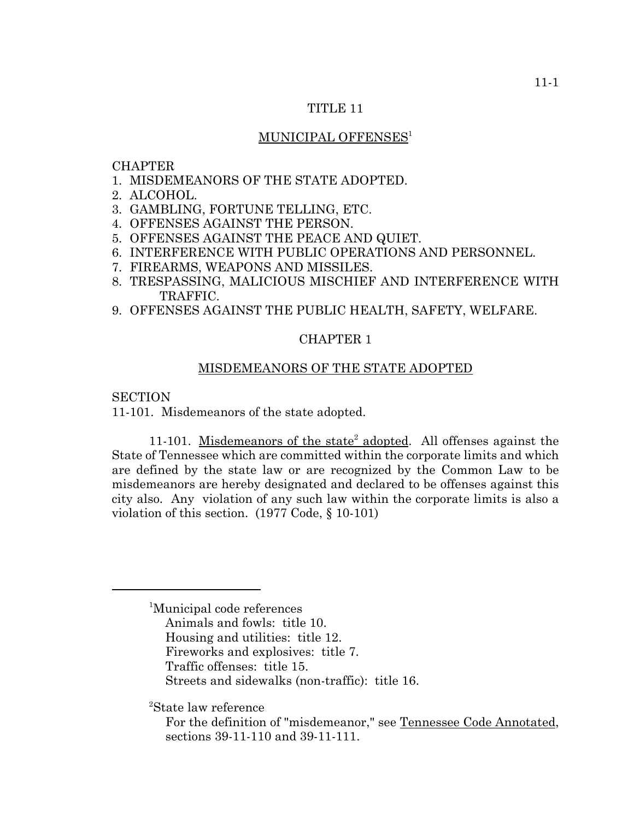## TITLE 11

## MUNICIPAL OFFENSES<sup>1</sup>

## CHAPTER

- 1. MISDEMEANORS OF THE STATE ADOPTED.
- 2. ALCOHOL.
- 3. GAMBLING, FORTUNE TELLING, ETC.
- 4. OFFENSES AGAINST THE PERSON.
- 5. OFFENSES AGAINST THE PEACE AND QUIET.
- 6. INTERFERENCE WITH PUBLIC OPERATIONS AND PERSONNEL.
- 7. FIREARMS, WEAPONS AND MISSILES.
- 8. TRESPASSING, MALICIOUS MISCHIEF AND INTERFERENCE WITH TRAFFIC.
- 9. OFFENSES AGAINST THE PUBLIC HEALTH, SAFETY, WELFARE.

#### CHAPTER 1

#### MISDEMEANORS OF THE STATE ADOPTED

#### **SECTION**

11-101. Misdemeanors of the state adopted.

11-101. Misdemeanors of the state<sup>2</sup> adopted. All offenses against the State of Tennessee which are committed within the corporate limits and which are defined by the state law or are recognized by the Common Law to be misdemeanors are hereby designated and declared to be offenses against this city also. Any violation of any such law within the corporate limits is also a violation of this section. (1977 Code, § 10-101)

- Animals and fowls: title 10.
- Housing and utilities: title 12.
- Fireworks and explosives: title 7.
- Traffic offenses: title 15.
- Streets and sidewalks (non-traffic): title 16.

2 State law reference

<sup>1</sup> Municipal code references

For the definition of "misdemeanor," see Tennessee Code Annotated, sections 39-11-110 and 39-11-111.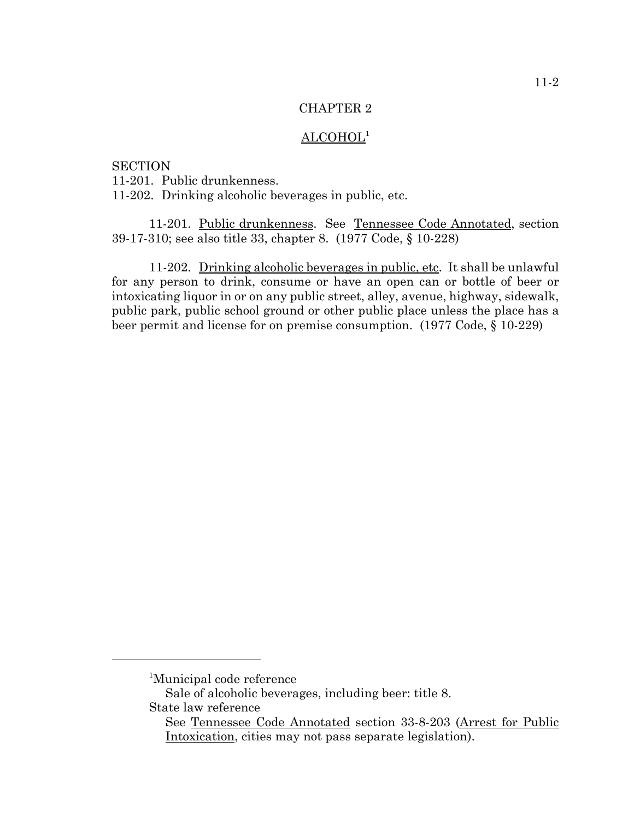# ALCOHOL1

**SECTION** 11-201. Public drunkenness. 11-202. Drinking alcoholic beverages in public, etc.

11-201. Public drunkenness. See Tennessee Code Annotated, section 39-17-310; see also title 33, chapter 8. (1977 Code, § 10-228)

11-202. Drinking alcoholic beverages in public, etc. It shall be unlawful for any person to drink, consume or have an open can or bottle of beer or intoxicating liquor in or on any public street, alley, avenue, highway, sidewalk, public park, public school ground or other public place unless the place has a beer permit and license for on premise consumption. (1977 Code, § 10-229)

<sup>1</sup> Municipal code reference

Sale of alcoholic beverages, including beer: title 8. State law reference

See Tennessee Code Annotated section 33-8-203 (Arrest for Public Intoxication, cities may not pass separate legislation).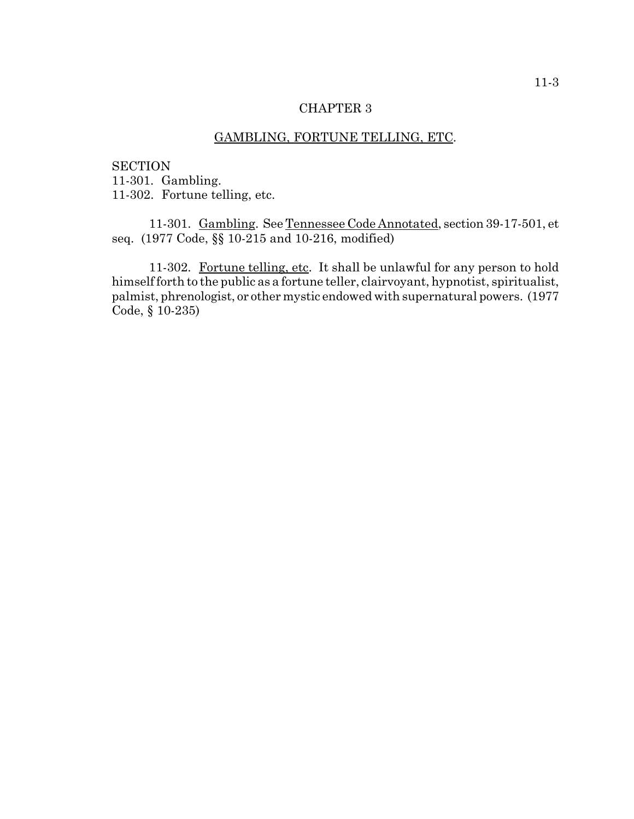## GAMBLING, FORTUNE TELLING, ETC.

**SECTION** 11-301. Gambling. 11-302. Fortune telling, etc.

11-301. Gambling. See Tennessee Code Annotated, section 39-17-501, et seq. (1977 Code, §§ 10-215 and 10-216, modified)

11-302. Fortune telling, etc. It shall be unlawful for any person to hold himself forth to the public as a fortune teller, clairvoyant, hypnotist, spiritualist, palmist, phrenologist, or other mystic endowed with supernatural powers. (1977 Code, § 10-235)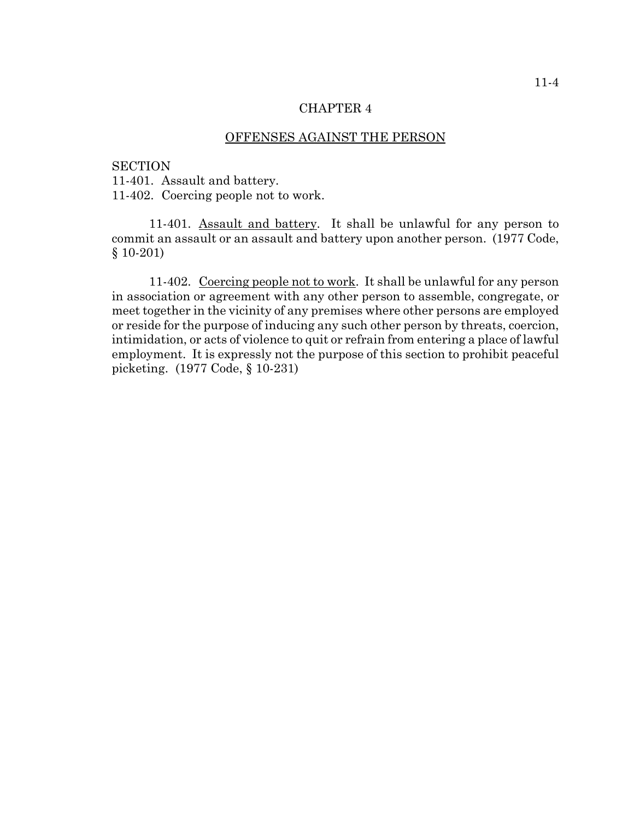#### OFFENSES AGAINST THE PERSON

#### **SECTION**

11-401. Assault and battery.

11-402. Coercing people not to work.

11-401. Assault and battery. It shall be unlawful for any person to commit an assault or an assault and battery upon another person. (1977 Code, § 10-201)

11-402. Coercing people not to work. It shall be unlawful for any person in association or agreement with any other person to assemble, congregate, or meet together in the vicinity of any premises where other persons are employed or reside for the purpose of inducing any such other person by threats, coercion, intimidation, or acts of violence to quit or refrain from entering a place of lawful employment. It is expressly not the purpose of this section to prohibit peaceful picketing. (1977 Code, § 10-231)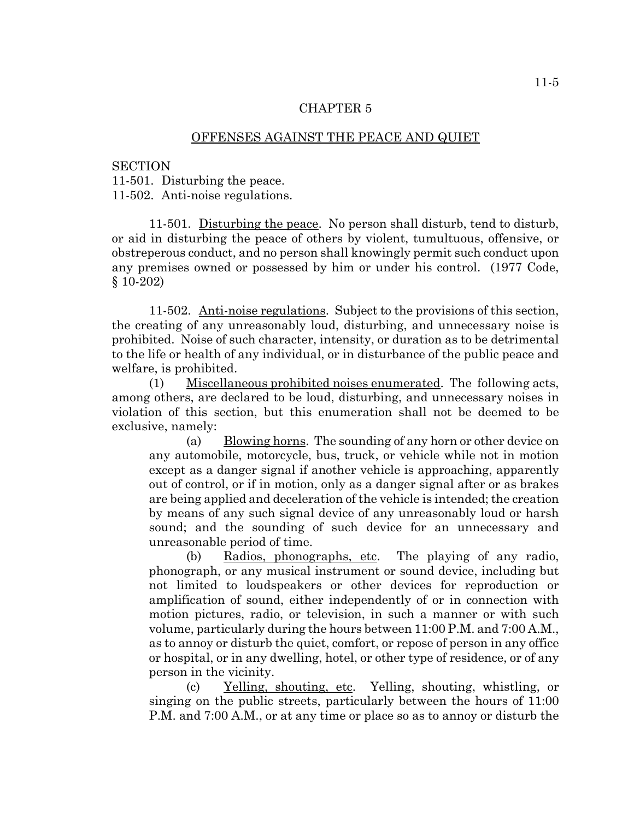### OFFENSES AGAINST THE PEACE AND QUIET

**SECTION** 

11-501. Disturbing the peace.

11-502. Anti-noise regulations.

11-501. Disturbing the peace. No person shall disturb, tend to disturb, or aid in disturbing the peace of others by violent, tumultuous, offensive, or obstreperous conduct, and no person shall knowingly permit such conduct upon any premises owned or possessed by him or under his control. (1977 Code, § 10-202)

11-502. Anti-noise regulations. Subject to the provisions of this section, the creating of any unreasonably loud, disturbing, and unnecessary noise is prohibited. Noise of such character, intensity, or duration as to be detrimental to the life or health of any individual, or in disturbance of the public peace and welfare, is prohibited.

(1) Miscellaneous prohibited noises enumerated. The following acts, among others, are declared to be loud, disturbing, and unnecessary noises in violation of this section, but this enumeration shall not be deemed to be exclusive, namely:

(a) Blowing horns. The sounding of any horn or other device on any automobile, motorcycle, bus, truck, or vehicle while not in motion except as a danger signal if another vehicle is approaching, apparently out of control, or if in motion, only as a danger signal after or as brakes are being applied and deceleration of the vehicle is intended; the creation by means of any such signal device of any unreasonably loud or harsh sound; and the sounding of such device for an unnecessary and unreasonable period of time.

(b) Radios, phonographs, etc. The playing of any radio, phonograph, or any musical instrument or sound device, including but not limited to loudspeakers or other devices for reproduction or amplification of sound, either independently of or in connection with motion pictures, radio, or television, in such a manner or with such volume, particularly during the hours between 11:00 P.M. and 7:00 A.M., as to annoy or disturb the quiet, comfort, or repose of person in any office or hospital, or in any dwelling, hotel, or other type of residence, or of any person in the vicinity.

(c) Yelling, shouting, etc. Yelling, shouting, whistling, or singing on the public streets, particularly between the hours of 11:00 P.M. and 7:00 A.M., or at any time or place so as to annoy or disturb the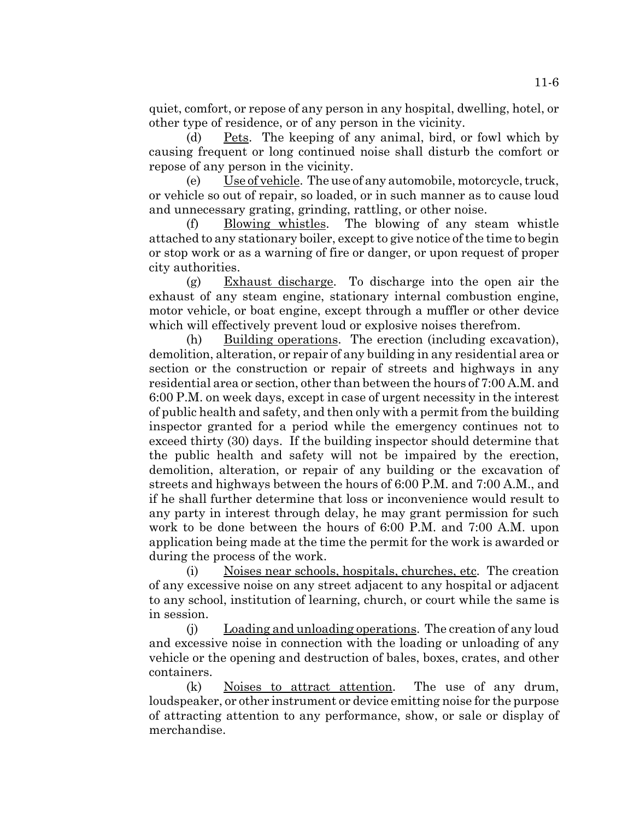quiet, comfort, or repose of any person in any hospital, dwelling, hotel, or other type of residence, or of any person in the vicinity.

(d) Pets. The keeping of any animal, bird, or fowl which by causing frequent or long continued noise shall disturb the comfort or repose of any person in the vicinity.

(e) Use of vehicle. The use of any automobile, motorcycle, truck, or vehicle so out of repair, so loaded, or in such manner as to cause loud and unnecessary grating, grinding, rattling, or other noise.

(f) Blowing whistles. The blowing of any steam whistle attached to any stationary boiler, except to give notice of the time to begin or stop work or as a warning of fire or danger, or upon request of proper city authorities.

(g) Exhaust discharge. To discharge into the open air the exhaust of any steam engine, stationary internal combustion engine, motor vehicle, or boat engine, except through a muffler or other device which will effectively prevent loud or explosive noises therefrom.

(h) Building operations. The erection (including excavation), demolition, alteration, or repair of any building in any residential area or section or the construction or repair of streets and highways in any residential area or section, other than between the hours of 7:00 A.M. and 6:00 P.M. on week days, except in case of urgent necessity in the interest of public health and safety, and then only with a permit from the building inspector granted for a period while the emergency continues not to exceed thirty (30) days. If the building inspector should determine that the public health and safety will not be impaired by the erection, demolition, alteration, or repair of any building or the excavation of streets and highways between the hours of 6:00 P.M. and 7:00 A.M., and if he shall further determine that loss or inconvenience would result to any party in interest through delay, he may grant permission for such work to be done between the hours of 6:00 P.M. and 7:00 A.M. upon application being made at the time the permit for the work is awarded or during the process of the work.

(i) Noises near schools, hospitals, churches, etc. The creation of any excessive noise on any street adjacent to any hospital or adjacent to any school, institution of learning, church, or court while the same is in session.

(j) Loading and unloading operations. The creation of any loud and excessive noise in connection with the loading or unloading of any vehicle or the opening and destruction of bales, boxes, crates, and other containers.

(k) Noises to attract attention. The use of any drum, loudspeaker, or other instrument or device emitting noise for the purpose of attracting attention to any performance, show, or sale or display of merchandise.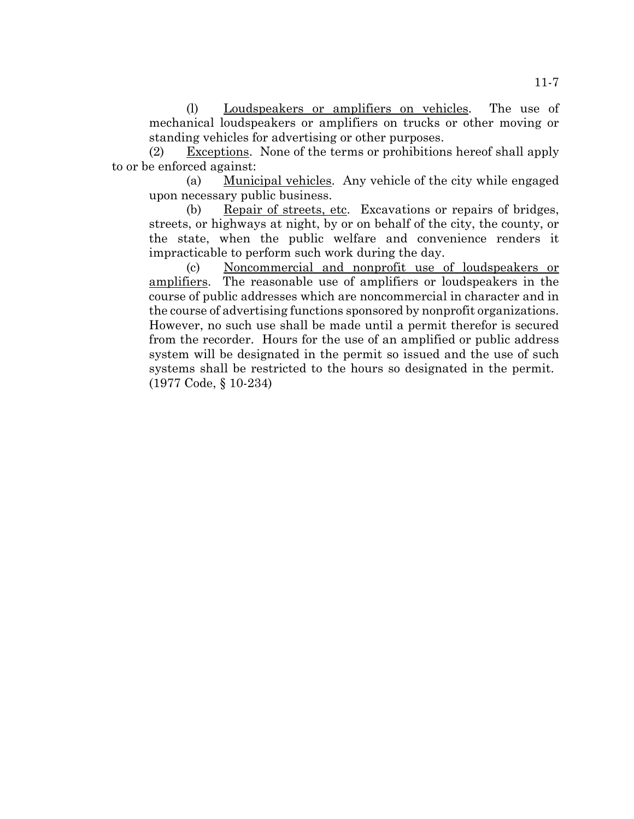(l) Loudspeakers or amplifiers on vehicles. The use of mechanical loudspeakers or amplifiers on trucks or other moving or standing vehicles for advertising or other purposes.

(2) Exceptions. None of the terms or prohibitions hereof shall apply to or be enforced against:

(a) Municipal vehicles. Any vehicle of the city while engaged upon necessary public business.

(b) Repair of streets, etc. Excavations or repairs of bridges, streets, or highways at night, by or on behalf of the city, the county, or the state, when the public welfare and convenience renders it impracticable to perform such work during the day.

(c) Noncommercial and nonprofit use of loudspeakers or amplifiers. The reasonable use of amplifiers or loudspeakers in the course of public addresses which are noncommercial in character and in the course of advertising functions sponsored by nonprofit organizations. However, no such use shall be made until a permit therefor is secured from the recorder. Hours for the use of an amplified or public address system will be designated in the permit so issued and the use of such systems shall be restricted to the hours so designated in the permit. (1977 Code, § 10-234)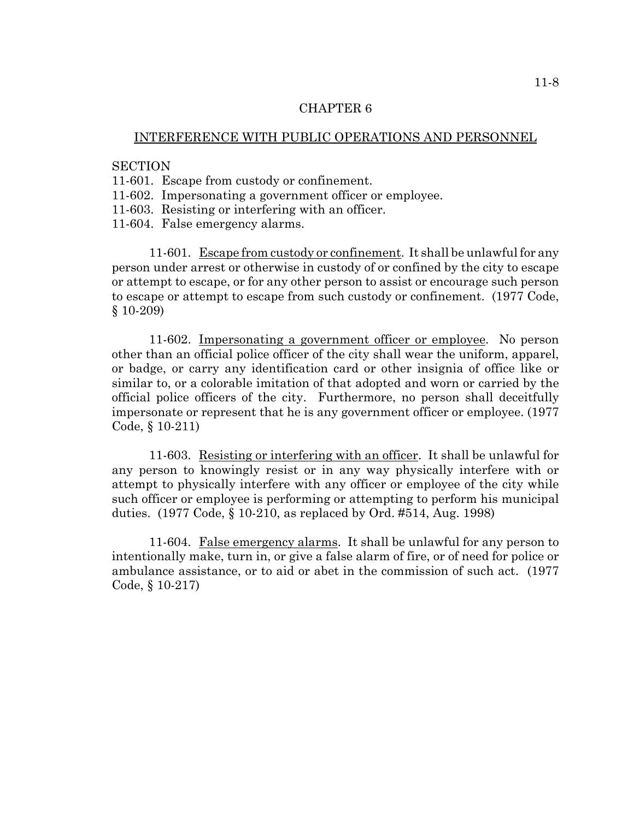### INTERFERENCE WITH PUBLIC OPERATIONS AND PERSONNEL

## **SECTION**

- 11-601. Escape from custody or confinement.
- 11-602. Impersonating a government officer or employee.
- 11-603. Resisting or interfering with an officer.
- 11-604. False emergency alarms.

11-601. Escape from custody or confinement. It shall be unlawful for any person under arrest or otherwise in custody of or confined by the city to escape or attempt to escape, or for any other person to assist or encourage such person to escape or attempt to escape from such custody or confinement. (1977 Code, § 10-209)

11-602. Impersonating a government officer or employee. No person other than an official police officer of the city shall wear the uniform, apparel, or badge, or carry any identification card or other insignia of office like or similar to, or a colorable imitation of that adopted and worn or carried by the official police officers of the city. Furthermore, no person shall deceitfully impersonate or represent that he is any government officer or employee. (1977 Code, § 10-211)

11-603. Resisting or interfering with an officer. It shall be unlawful for any person to knowingly resist or in any way physically interfere with or attempt to physically interfere with any officer or employee of the city while such officer or employee is performing or attempting to perform his municipal duties. (1977 Code, § 10-210, as replaced by Ord. #514, Aug. 1998)

11-604. False emergency alarms. It shall be unlawful for any person to intentionally make, turn in, or give a false alarm of fire, or of need for police or ambulance assistance, or to aid or abet in the commission of such act. (1977 Code, § 10-217)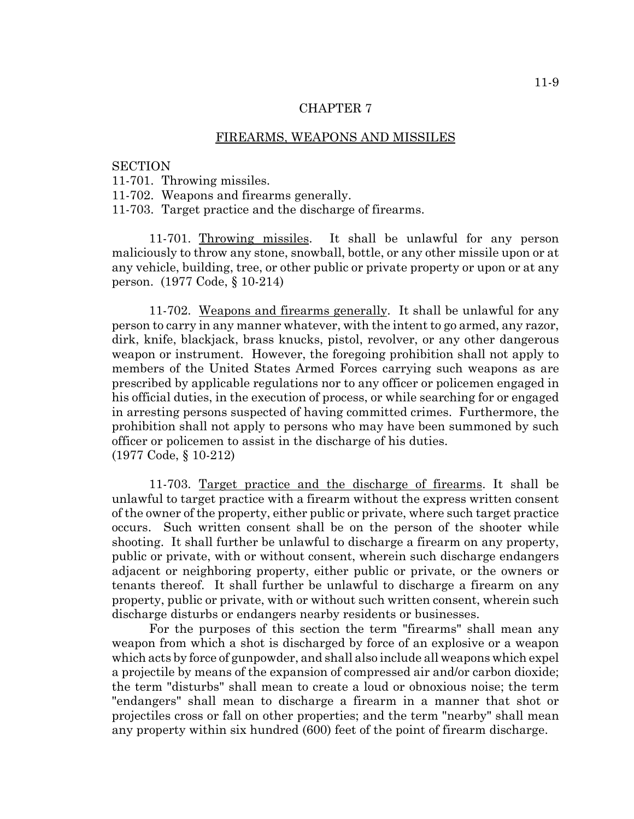#### FIREARMS, WEAPONS AND MISSILES

#### **SECTION**

11-701. Throwing missiles.

11-702. Weapons and firearms generally.

11-703. Target practice and the discharge of firearms.

11-701. Throwing missiles. It shall be unlawful for any person maliciously to throw any stone, snowball, bottle, or any other missile upon or at any vehicle, building, tree, or other public or private property or upon or at any person. (1977 Code, § 10-214)

11-702. Weapons and firearms generally. It shall be unlawful for any person to carry in any manner whatever, with the intent to go armed, any razor, dirk, knife, blackjack, brass knucks, pistol, revolver, or any other dangerous weapon or instrument. However, the foregoing prohibition shall not apply to members of the United States Armed Forces carrying such weapons as are prescribed by applicable regulations nor to any officer or policemen engaged in his official duties, in the execution of process, or while searching for or engaged in arresting persons suspected of having committed crimes. Furthermore, the prohibition shall not apply to persons who may have been summoned by such officer or policemen to assist in the discharge of his duties. (1977 Code, § 10-212)

11-703. Target practice and the discharge of firearms. It shall be unlawful to target practice with a firearm without the express written consent of the owner of the property, either public or private, where such target practice occurs. Such written consent shall be on the person of the shooter while shooting. It shall further be unlawful to discharge a firearm on any property, public or private, with or without consent, wherein such discharge endangers adjacent or neighboring property, either public or private, or the owners or tenants thereof. It shall further be unlawful to discharge a firearm on any property, public or private, with or without such written consent, wherein such discharge disturbs or endangers nearby residents or businesses.

For the purposes of this section the term "firearms" shall mean any weapon from which a shot is discharged by force of an explosive or a weapon which acts by force of gunpowder, and shall also include all weapons which expel a projectile by means of the expansion of compressed air and/or carbon dioxide; the term "disturbs" shall mean to create a loud or obnoxious noise; the term "endangers" shall mean to discharge a firearm in a manner that shot or projectiles cross or fall on other properties; and the term "nearby" shall mean any property within six hundred (600) feet of the point of firearm discharge.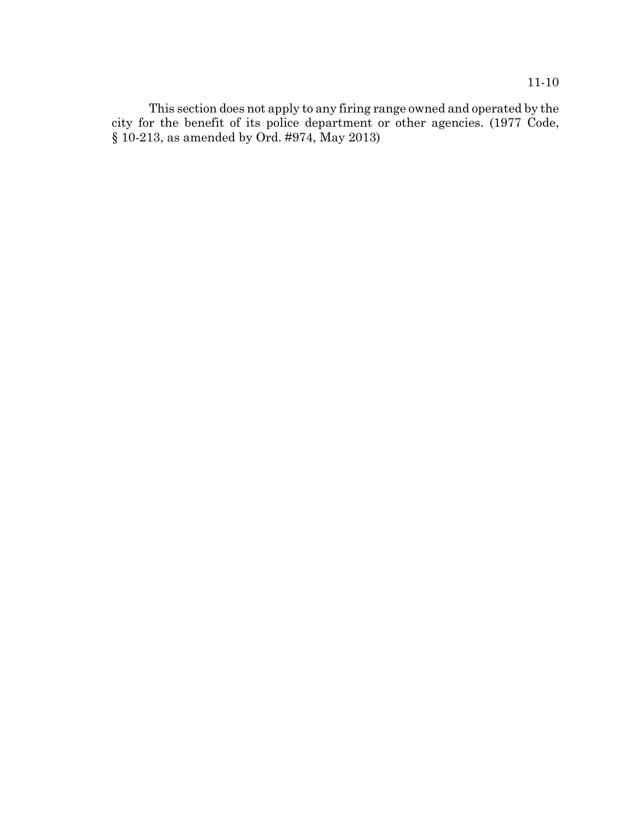This section does not apply to any firing range owned and operated by the city for the benefit of its police department or other agencies. (1977 Code, § 10-213, as amended by Ord. #974, May 2013)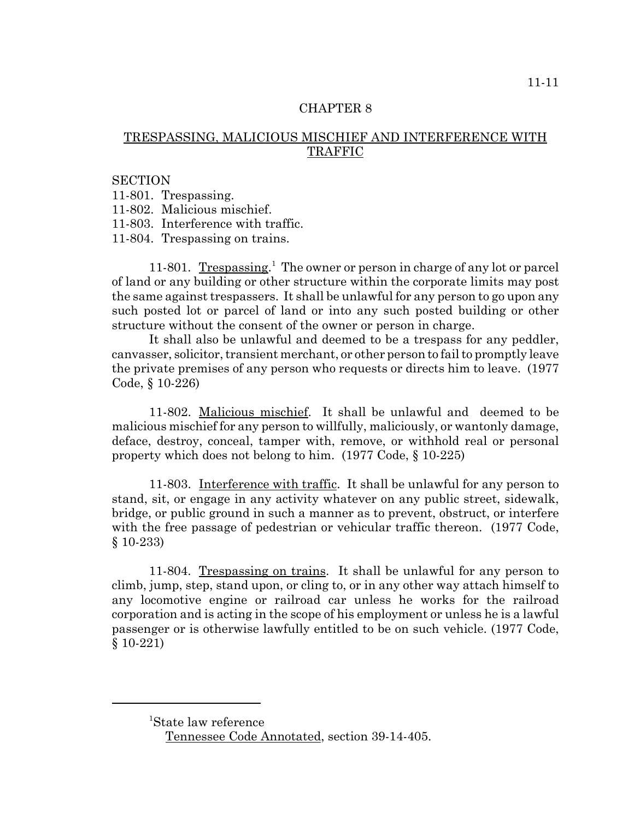# TRESPASSING, MALICIOUS MISCHIEF AND INTERFERENCE WITH TRAFFIC

#### **SECTION**

11-801. Trespassing.

11-802. Malicious mischief.

11-803. Interference with traffic.

11-804. Trespassing on trains.

11-801. Trespassing.<sup>1</sup> The owner or person in charge of any lot or parcel of land or any building or other structure within the corporate limits may post the same against trespassers. It shall be unlawful for any person to go upon any such posted lot or parcel of land or into any such posted building or other structure without the consent of the owner or person in charge.

It shall also be unlawful and deemed to be a trespass for any peddler, canvasser, solicitor, transient merchant, or other person to fail to promptly leave the private premises of any person who requests or directs him to leave. (1977 Code, § 10-226)

11-802. Malicious mischief. It shall be unlawful and deemed to be malicious mischief for any person to willfully, maliciously, or wantonly damage, deface, destroy, conceal, tamper with, remove, or withhold real or personal property which does not belong to him. (1977 Code, § 10-225)

11-803. Interference with traffic. It shall be unlawful for any person to stand, sit, or engage in any activity whatever on any public street, sidewalk, bridge, or public ground in such a manner as to prevent, obstruct, or interfere with the free passage of pedestrian or vehicular traffic thereon. (1977 Code, § 10-233)

11-804. Trespassing on trains. It shall be unlawful for any person to climb, jump, step, stand upon, or cling to, or in any other way attach himself to any locomotive engine or railroad car unless he works for the railroad corporation and is acting in the scope of his employment or unless he is a lawful passenger or is otherwise lawfully entitled to be on such vehicle. (1977 Code, § 10-221)

<sup>1</sup> State law reference

Tennessee Code Annotated, section 39-14-405.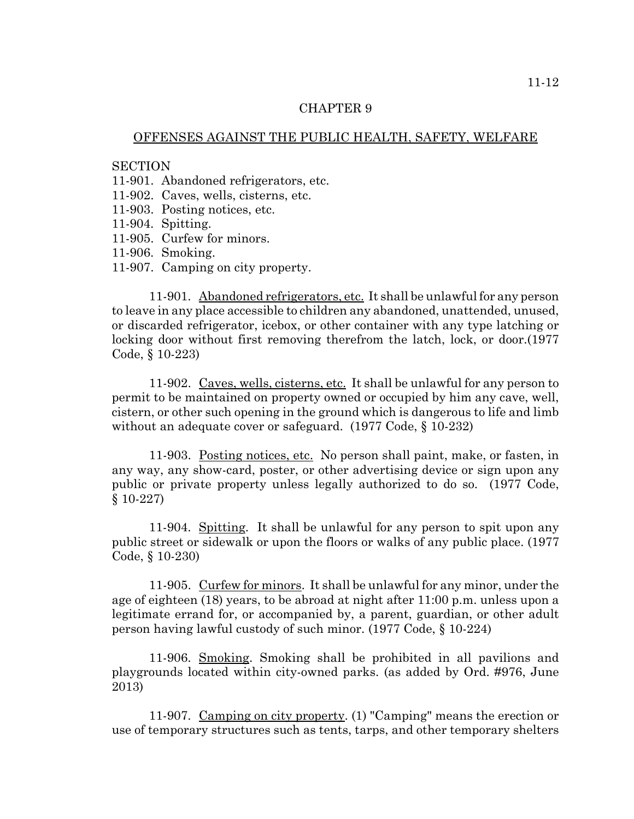### OFFENSES AGAINST THE PUBLIC HEALTH, SAFETY, WELFARE

### **SECTION**

11-901. Abandoned refrigerators, etc.

- 11-902. Caves, wells, cisterns, etc.
- 11-903. Posting notices, etc.
- 11-904. Spitting.
- 11-905. Curfew for minors.
- 11-906. Smoking.
- 11-907. Camping on city property.

11-901. Abandoned refrigerators, etc. It shall be unlawful for any person to leave in any place accessible to children any abandoned, unattended, unused, or discarded refrigerator, icebox, or other container with any type latching or locking door without first removing therefrom the latch, lock, or door.(1977 Code, § 10-223)

11-902. Caves, wells, cisterns, etc. It shall be unlawful for any person to permit to be maintained on property owned or occupied by him any cave, well, cistern, or other such opening in the ground which is dangerous to life and limb without an adequate cover or safeguard. (1977 Code, § 10-232)

11-903. Posting notices, etc. No person shall paint, make, or fasten, in any way, any show-card, poster, or other advertising device or sign upon any public or private property unless legally authorized to do so. (1977 Code, § 10-227)

11-904. Spitting. It shall be unlawful for any person to spit upon any public street or sidewalk or upon the floors or walks of any public place. (1977 Code, § 10-230)

11-905. Curfew for minors. It shall be unlawful for any minor, under the age of eighteen (18) years, to be abroad at night after 11:00 p.m. unless upon a legitimate errand for, or accompanied by, a parent, guardian, or other adult person having lawful custody of such minor. (1977 Code, § 10-224)

11-906. Smoking. Smoking shall be prohibited in all pavilions and playgrounds located within city-owned parks. (as added by Ord. #976, June 2013)

11-907. Camping on city property. (1) "Camping" means the erection or use of temporary structures such as tents, tarps, and other temporary shelters